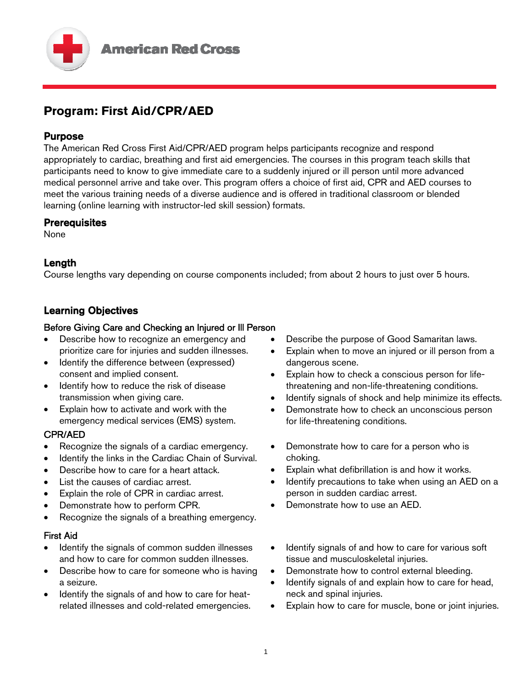

# **Program: First Aid/CPR/AED**

### Purpose

The American Red Cross First Aid/CPR/AED program helps participants recognize and respond appropriately to cardiac, breathing and first aid emergencies. The courses in this program teach skills that participants need to know to give immediate care to a suddenly injured or ill person until more advanced medical personnel arrive and take over. This program offers a choice of first aid, CPR and AED courses to meet the various training needs of a diverse audience and is offered in traditional classroom or blended learning (online learning with instructor-led skill session) formats.

### **Prerequisites**

None

# Length

Course lengths vary depending on course components included; from about 2 hours to just over 5 hours.

# Learning Objectives

### Before Giving Care and Checking an Injured or Ill Person

- Describe how to recognize an emergency and prioritize care for injuries and sudden illnesses.
- Identify the difference between (expressed) consent and implied consent.
- Identify how to reduce the risk of disease transmission when giving care.
- Explain how to activate and work with the emergency medical services (EMS) system.

# CPR/AED

- Recognize the signals of a cardiac emergency.
- Identify the links in the Cardiac Chain of Survival.
- Describe how to care for a heart attack.
- List the causes of cardiac arrest.
- Explain the role of CPR in cardiac arrest.
- Demonstrate how to perform CPR.
- Recognize the signals of a breathing emergency.

#### First Aid

- Identify the signals of common sudden illnesses and how to care for common sudden illnesses.
- Describe how to care for someone who is having a seizure.
- Identify the signals of and how to care for heatrelated illnesses and cold-related emergencies.
- Describe the purpose of Good Samaritan laws.
- Explain when to move an injured or ill person from a dangerous scene.
- Explain how to check a conscious person for lifethreatening and non-life-threatening conditions.
- Identify signals of shock and help minimize its effects.
- Demonstrate how to check an unconscious person for life-threatening conditions.
- Demonstrate how to care for a person who is choking.
- Explain what defibrillation is and how it works.
- Identify precautions to take when using an AED on a person in sudden cardiac arrest.
- Demonstrate how to use an AED.
- Identify signals of and how to care for various soft tissue and musculoskeletal injuries.
- Demonstrate how to control external bleeding.
- Identify signals of and explain how to care for head, neck and spinal injuries.
- Explain how to care for muscle, bone or joint injuries.